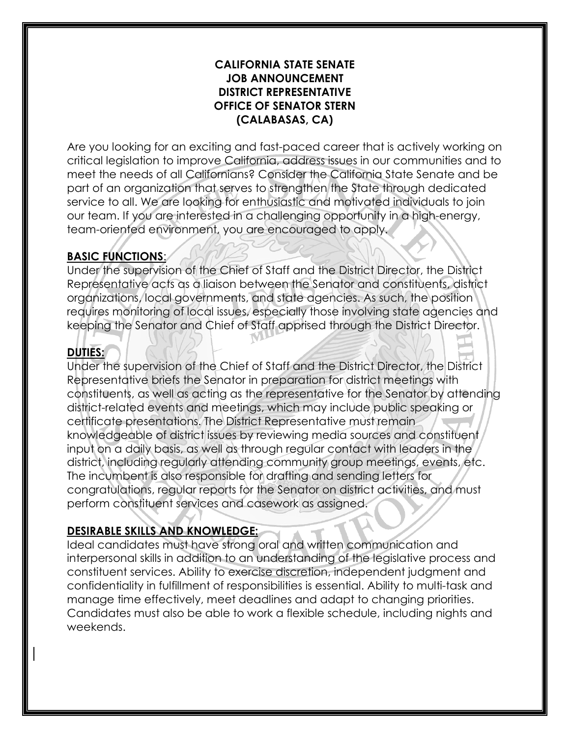### **CALIFORNIA STATE SENATE JOB ANNOUNCEMENT DISTRICT REPRESENTATIVE OFFICE OF SENATOR STERN (CALABASAS, CA)**

Are you looking for an exciting and fast-paced career that is actively working on critical legislation to improve California, address issues in our communities and to meet the needs of all Californians? Consider the California State Senate and be part of an organization that serves to strengthen the State through dedicated service to all. We are looking for enthusiastic and motivated individuals to join our team. If you are interested in a challenging opportunity in a high-energy, team-oriented environment, you are encouraged to apply.

# **BASIC FUNCTIONS**:

Under the supervision of the Chief of Staff and the District Director, the District Representative acts as a liaison between the Senator and constituents, district organizations, local governments, and state agencies. As such, the position requires monitoring of local issues, especially those involving state agencies and keeping the Senator and Chief of Staff apprised through the District Director.

# **DUTIES:**

Under the supervision of the Chief of Staff and the District Director, the District Representative briefs the Senator in preparation for district meetings with constituents, as well as acting as the representative for the Senator by attending district-related events and meetings, which may include public speaking or certificate presentations. The District Representative must remain knowledgeable of district issues by reviewing media sources and constituent input on a daily basis, as well as through regular contact with leaders in the district, including regularly attending community group meetings, events, etc. The incumbent is also responsible for drafting and sending letters for congratulations, regular reports for the Senator on district activities, and must perform constituent services and casework as assigned.

## **DESIRABLE SKILLS AND KNOWLEDGE:**

Ideal candidates must have strong oral and written communication and interpersonal skills in addition to an understanding of the legislative process and constituent services. Ability to exercise discretion, independent judgment and confidentiality in fulfillment of responsibilities is essential. Ability to multi-task and manage time effectively, meet deadlines and adapt to changing priorities. Candidates must also be able to work a flexible schedule, including nights and weekends.